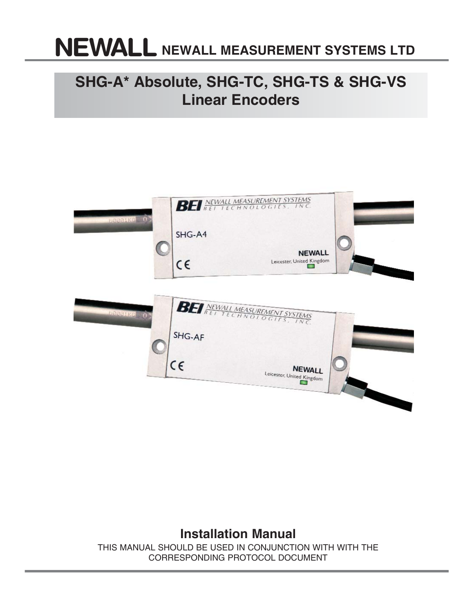# **NNEWALL MEASUREMENT SYSTEMS LTD**

## **SHG-A\* Absolute, SHG-TC, SHG-TS & SHG-VS Linear Encoders**



### **Installation Manual**

THIS MANUAL SHOULD BE USED IN CONJUNCTION WITH WITH THE CORRESPONDING PROTOCOL DOCUMENT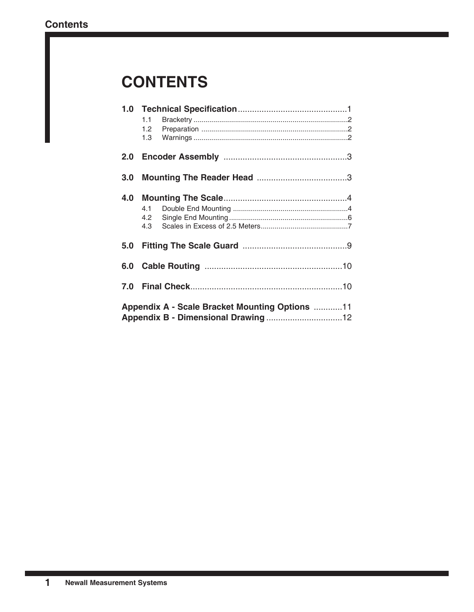## **CONTENTS**

|                                                       | 1.1     |  |  |  |  |  |  |
|-------------------------------------------------------|---------|--|--|--|--|--|--|
|                                                       | $1.2 -$ |  |  |  |  |  |  |
|                                                       | 1.3     |  |  |  |  |  |  |
| 2.0                                                   |         |  |  |  |  |  |  |
| 3.0 <sub>1</sub>                                      |         |  |  |  |  |  |  |
| 4.0                                                   |         |  |  |  |  |  |  |
|                                                       | 4.1     |  |  |  |  |  |  |
|                                                       | 4.2     |  |  |  |  |  |  |
|                                                       | 4.3     |  |  |  |  |  |  |
|                                                       |         |  |  |  |  |  |  |
| 5.0                                                   |         |  |  |  |  |  |  |
|                                                       |         |  |  |  |  |  |  |
|                                                       |         |  |  |  |  |  |  |
|                                                       |         |  |  |  |  |  |  |
| 7.0                                                   |         |  |  |  |  |  |  |
|                                                       |         |  |  |  |  |  |  |
| <b>Appendix A - Scale Bracket Mounting Options 11</b> |         |  |  |  |  |  |  |
|                                                       |         |  |  |  |  |  |  |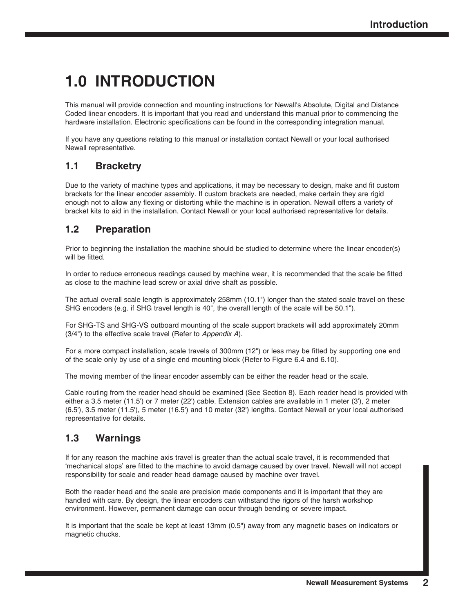## **1.0 INTRODUCTION**

This manual will provide connection and mounting instructions for Newall's Absolute, Digital and Distance Coded linear encoders. It is important that you read and understand this manual prior to commencing the hardware installation. Electronic specifications can be found in the corresponding integration manual.

If you have any questions relating to this manual or installation contact Newall or your local authorised Newall representative.

### **1.1 Bracketry**

Due to the variety of machine types and applications, it may be necessary to design, make and fit custom brackets for the linear encoder assembly. If custom brackets are needed, make certain they are rigid enough not to allow any flexing or distorting while the machine is in operation. Newall offers a variety of bracket kits to aid in the installation. Contact Newall or your local authorised representative for details.

### **1.2 Preparation**

Prior to beginning the installation the machine should be studied to determine where the linear encoder(s) will be fitted.

In order to reduce erroneous readings caused by machine wear, it is recommended that the scale be fitted as close to the machine lead screw or axial drive shaft as possible.

The actual overall scale length is approximately 258mm (10.1") longer than the stated scale travel on these SHG encoders (e.g. if SHG travel length is 40", the overall length of the scale will be 50.1").

For SHG-TS and SHG-VS outboard mounting of the scale support brackets will add approximately 20mm (3/4") to the effective scale travel (Refer to *Appendix A*).

For a more compact installation, scale travels of 300mm (12") or less may be fitted by supporting one end of the scale only by use of a single end mounting block (Refer to Figure 6.4 and 6.10).

The moving member of the linear encoder assembly can be either the reader head or the scale.

Cable routing from the reader head should be examined (See Section 8). Each reader head is provided with either a 3.5 meter (11.5') or 7 meter (22') cable. Extension cables are available in 1 meter (3'), 2 meter (6.5'), 3.5 meter (11.5'), 5 meter (16.5') and 10 meter (32') lengths. Contact Newall or your local authorised representative for details.

### **1.3 Warnings**

If for any reason the machine axis travel is greater than the actual scale travel, it is recommended that 'mechanical stops' are fitted to the machine to avoid damage caused by over travel. Newall will not accept responsibility for scale and reader head damage caused by machine over travel.

Both the reader head and the scale are precision made components and it is important that they are handled with care. By design, the linear encoders can withstand the rigors of the harsh workshop environment. However, permanent damage can occur through bending or severe impact.

It is important that the scale be kept at least 13mm (0.5") away from any magnetic bases on indicators or magnetic chucks.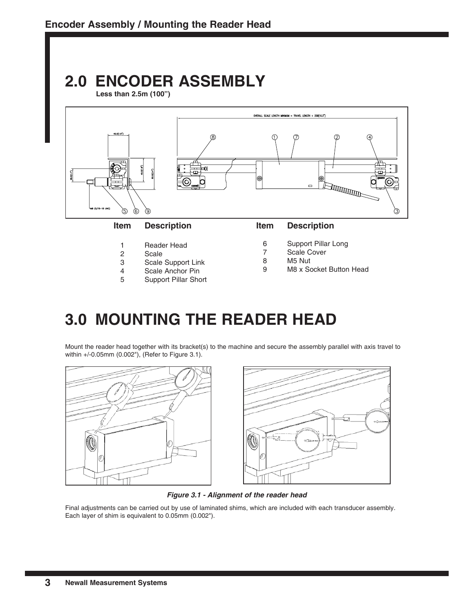## **2.0 ENCODER ASSEMBLY**

**Less than 2.5m (100")**



- 2 Scale
- 3 Scale Support Link
- 4 Scale Anchor Pin
- 5 Support Pillar Short
- 7 Scale Cover
- 8 M5 Nut
- 9 M8 x Socket Button Head

## **3.0 MOUNTING THE READER HEAD**

Mount the reader head together with its bracket(s) to the machine and secure the assembly parallel with axis travel to within +/-0.05mm (0.002"), (Refer to Figure 3.1).



*Figure 3.1 - Alignment of the reader head*

Final adjustments can be carried out by use of laminated shims, which are included with each transducer assembly. Each layer of shim is equivalent to 0.05mm (0.002").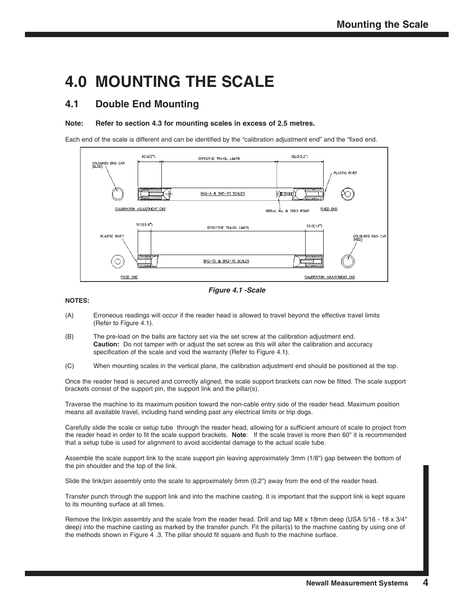## **4.0 MOUNTING THE SCALE**

### **4.1 Double End Mounting**

#### **Note: Refer to section 4.3 for mounting scales in excess of 2.5 metres.**

Each end of the scale is different and can be identified by the "calibration adjustment end" and the "fixed end.



*Figure 4.1 -Scale*

#### **NOTES:**

- (A) Erroneous readings will occur if the reader head is allowed to travel beyond the effective travel limits (Refer to Figure 4.1).
- (B) The pre-load on the balls are factory set via the set screw at the calibration adjustment end. **Caution:** Do not tamper with or adjust the set screw as this will alter the calibration and accuracy specification of the scale and void the warranty (Refer to Figure 4.1).
- (C) When mounting scales in the vertical plane, the calibration adjustment end should be positioned at the top.

Once the reader head is secured and correctly aligned, the scale support brackets can now be fitted. The scale support brackets consist of the support pin, the support link and the pillar(s).

Traverse the machine to its maximum position toward the non-cable entry side of the reader head. Maximum position means all available travel, including hand winding past any electrical limits or trip dogs.

Carefully slide the scale or setup tube through the reader head, allowing for a sufficient amount of scale to project from the reader head in order to fit the scale support brackets. **Note**: If the scale travel is more then 60" it is recommended that a setup tube is used for alignment to avoid accidental damage to the actual scale tube.

Assemble the scale support link to the scale support pin leaving approximately 3mm (1/8") gap between the bottom of the pin shoulder and the top of the link.

Slide the link/pin assembly onto the scale to approximately 5mm (0.2") away from the end of the reader head.

Transfer punch through the support link and into the machine casting. It is important that the support link is kept square to its mounting surface at all times.

Remove the link/pin assembly and the scale from the reader head. Drill and tap M8 x 18mm deep (USA 5/16 - 18 x 3/4" deep) into the machine casting as marked by the transfer punch. Fit the pillar(s) to the machine casting by using one of the methods shown in Figure 4 .3. The pillar should fit square and flush to the machine surface.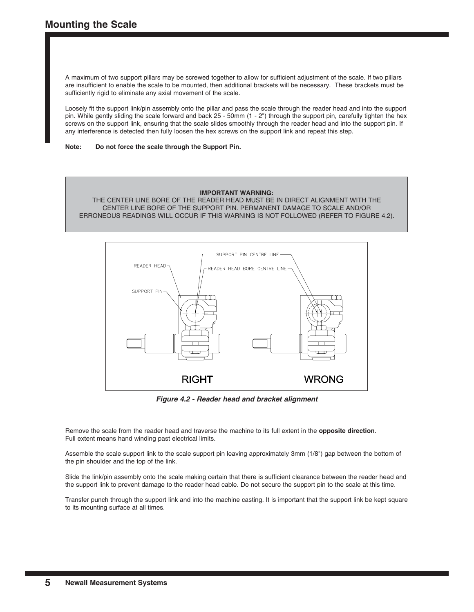A maximum of two support pillars may be screwed together to allow for sufficient adjustment of the scale. If two pillars are insufficient to enable the scale to be mounted, then additional brackets will be necessary. These brackets must be sufficiently rigid to eliminate any axial movement of the scale.

Loosely fit the support link/pin assembly onto the pillar and pass the scale through the reader head and into the support pin. While gently sliding the scale forward and back 25 - 50mm (1 - 2") through the support pin, carefully tighten the hex screws on the support link, ensuring that the scale slides smoothly through the reader head and into the support pin. If any interference is detected then fully loosen the hex screws on the support link and repeat this step.

**Note: Do not force the scale through the Support Pin.**

#### **IMPORTANT WARNING:**

THE CENTER LINE BORE OF THE READER HEAD MUST BE IN DIRECT ALIGNMENT WITH THE CENTER LINE BORE OF THE SUPPORT PIN. PERMANENT DAMAGE TO SCALE AND/OR ERRONEOUS READINGS WILL OCCUR IF THIS WARNING IS NOT FOLLOWED (REFER TO FIGURE 4.2).



*Figure 4.2 - Reader head and bracket alignment*

Remove the scale from the reader head and traverse the machine to its full extent in the **opposite direction**. Full extent means hand winding past electrical limits.

Assemble the scale support link to the scale support pin leaving approximately 3mm (1/8") gap between the bottom of the pin shoulder and the top of the link.

Slide the link/pin assembly onto the scale making certain that there is sufficient clearance between the reader head and the support link to prevent damage to the reader head cable. Do not secure the support pin to the scale at this time.

Transfer punch through the support link and into the machine casting. It is important that the support link be kept square to its mounting surface at all times.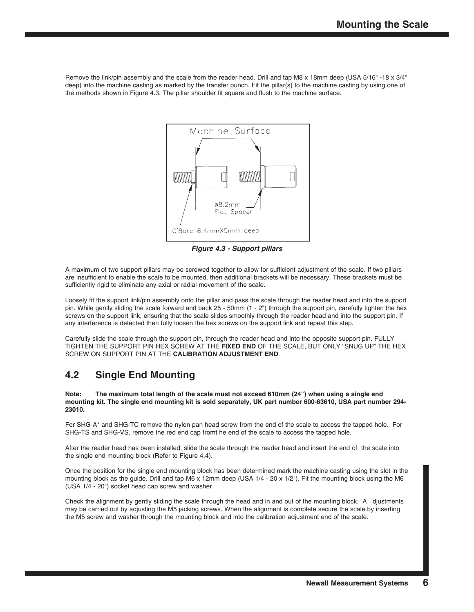Remove the link/pin assembly and the scale from the reader head. Drill and tap M8 x 18mm deep (USA 5/16" -18 x 3/4" deep) into the machine casting as marked by the transfer punch. Fit the pillar(s) to the machine casting by using one of the methods shown in Figure 4.3. The pillar shoulder fit square and flush to the machine surface.



*Figure 4.3 - Support pillars*

A maximum of two support pillars may be screwed together to allow for sufficient adjustment of the scale. If two pillars are insufficient to enable the scale to be mounted, then additional brackets will be necessary. These brackets must be sufficiently rigid to eliminate any axial or radial movement of the scale.

Loosely fit the support link/pin assembly onto the pillar and pass the scale through the reader head and into the support pin. While gently sliding the scale forward and back 25 - 50mm (1 - 2") through the support pin, carefully tighten the hex screws on the support link, ensuring that the scale slides smoothly through the reader head and into the support pin. If any interference is detected then fully loosen the hex screws on the support link and repeat this step.

Carefully slide the scale through the support pin, through the reader head and into the opposite support pin. FULLY TIGHTEN THE SUPPORT PIN HEX SCREW AT THE **FIXED END** OF THE SCALE, BUT ONLY "SNUG UP" THE HEX SCREW ON SUPPORT PIN AT THE **CALIBRATION ADJUSTMENT END**.

### **4.2 Single End Mounting**

**Note: The maximum total length of the scale must not exceed 610mm (24") when using a single end mounting kit. The single end mounting kit is sold separately, UK part number 600-63610, USA part number 294- 23010.**

For SHG-A\* and SHG-TC remove the nylon pan head screw from the end of the scale to access the tapped hole. For SHG-TS and SHG-VS, remove the red end cap fromt he end of the scale to access the tapped hole.

After the reader head has been installed, slide the scale through the reader head and insert the end of the scale into the single end mounting block (Refer to Figure 4.4).

Once the position for the single end mounting block has been determined mark the machine casting using the slot in the mounting block as the guide. Drill and tap M6 x 12mm deep (USA 1/4 - 20 x 1/2"). Fit the mounting block using the M6 (USA 1/4 - 20") socket head cap screw and washer.

Check the alignment by gently sliding the scale through the head and in and out of the mounting block. A djustments may be carried out by adjusting the M5 jacking screws. When the alignment is complete secure the scale by inserting the M5 screw and washer through the mounting block and into the calibration adjustment end of the scale.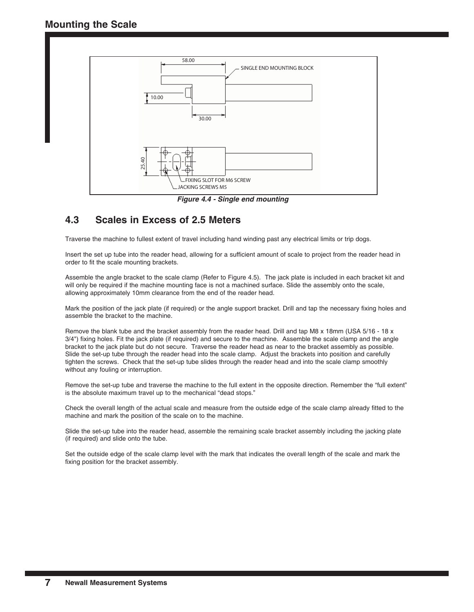

*Figure 4.4 - Single end mounting* 

### **4.3 Scales in Excess of 2.5 Meters**

Traverse the machine to fullest extent of travel including hand winding past any electrical limits or trip dogs.

Insert the set up tube into the reader head, allowing for a sufficient amount of scale to project from the reader head in order to fit the scale mounting brackets.

Assemble the angle bracket to the scale clamp (Refer to Figure 4.5). The jack plate is included in each bracket kit and will only be required if the machine mounting face is not a machined surface. Slide the assembly onto the scale, allowing approximately 10mm clearance from the end of the reader head.

Mark the position of the jack plate (if required) or the angle support bracket. Drill and tap the necessary fixing holes and assemble the bracket to the machine.

Remove the blank tube and the bracket assembly from the reader head. Drill and tap M8 x 18mm (USA 5/16 - 18 x 3/4") fixing holes. Fit the jack plate (if required) and secure to the machine. Assemble the scale clamp and the angle bracket to the jack plate but do not secure. Traverse the reader head as near to the bracket assembly as possible. Slide the set-up tube through the reader head into the scale clamp. Adjust the brackets into position and carefully tighten the screws. Check that the set-up tube slides through the reader head and into the scale clamp smoothly without any fouling or interruption.

Remove the set-up tube and traverse the machine to the full extent in the opposite direction. Remember the "full extent" is the absolute maximum travel up to the mechanical "dead stops."

Check the overall length of the actual scale and measure from the outside edge of the scale clamp already fitted to the machine and mark the position of the scale on to the machine.

Slide the set-up tube into the reader head, assemble the remaining scale bracket assembly including the jacking plate (if required) and slide onto the tube.

Set the outside edge of the scale clamp level with the mark that indicates the overall length of the scale and mark the fixing position for the bracket assembly.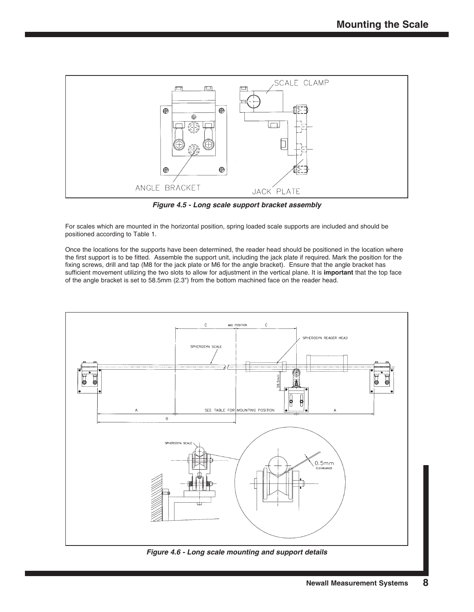

*Figure 4.5 - Long scale support bracket assembly*

For scales which are mounted in the horizontal position, spring loaded scale supports are included and should be positioned according to Table 1.

Once the locations for the supports have been determined, the reader head should be positioned in the location where the first support is to be fitted. Assemble the support unit, including the jack plate if required. Mark the position for the fixing screws, drill and tap (M8 for the jack plate or M6 for the angle bracket). Ensure that the angle bracket has sufficient movement utilizing the two slots to allow for adjustment in the vertical plane. It is **important** that the top face of the angle bracket is set to 58.5mm (2.3") from the bottom machined face on the reader head.



**Newall Measurement Systems 8**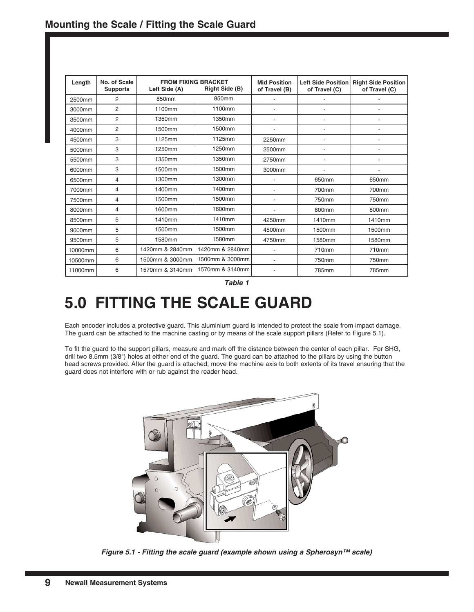| Length  | <b>FROM FIXING BRACKET</b><br>No. of Scale<br>Left Side (A)<br><b>Supports</b> |                 | Right Side (B)  | <b>Mid Position</b><br>of Travel (B) | of Travel (C)            | Left Side Position   Right Side Position<br>of Travel (C) |
|---------|--------------------------------------------------------------------------------|-----------------|-----------------|--------------------------------------|--------------------------|-----------------------------------------------------------|
| 2500mm  | 2                                                                              | 850mm           | 850mm           |                                      |                          |                                                           |
| 3000mm  | $\overline{2}$                                                                 | 1100mm          | 1100mm          |                                      | ٠                        |                                                           |
| 3500mm  | $\overline{2}$                                                                 | 1350mm          | 1350mm          |                                      | ٠                        |                                                           |
| 4000mm  | $\overline{2}$                                                                 | 1500mm          | 1500mm          |                                      | $\overline{\phantom{a}}$ |                                                           |
| 4500mm  | 3                                                                              | 1125mm          | 1125mm          | 2250mm                               | $\overline{a}$           |                                                           |
| 5000mm  | 3                                                                              | 1250mm          | 1250mm          | 2500mm                               | $\overline{a}$           |                                                           |
| 5500mm  | 3                                                                              | 1350mm          | 1350mm          | 2750mm                               | ٠                        |                                                           |
| 6000mm  | 3                                                                              | 1500mm          | 1500mm          | 3000mm                               |                          |                                                           |
| 6500mm  | 4                                                                              | 1300mm          | 1300mm          |                                      | 650mm                    | 650mm                                                     |
| 7000mm  | 4                                                                              | 1400mm          | 1400mm          |                                      | 700mm                    | 700mm                                                     |
| 7500mm  | 4                                                                              | 1500mm          | 1500mm          |                                      | 750mm                    | 750mm                                                     |
| 8000mm  | 4                                                                              | 1600mm          | 1600mm          |                                      | 800mm                    | 800mm                                                     |
| 8500mm  | 5                                                                              | 1410mm          | 1410mm          | 4250mm                               | 1410mm                   | 1410mm                                                    |
| 9000mm  | 5                                                                              | 1500mm          | 1500mm          | 4500mm                               | 1500mm                   | 1500mm                                                    |
| 9500mm  | 5                                                                              | 1580mm          | 1580mm          | 4750mm                               | 1580mm                   | 1580mm                                                    |
| 10000mm | 6                                                                              | 1420mm & 2840mm | 1420mm & 2840mm |                                      | 710mm                    | 710mm                                                     |
| 10500mm | 6                                                                              | 1500mm & 3000mm | 1500mm & 3000mm |                                      | 750mm                    | 750mm                                                     |
| 11000mm | 6                                                                              | 1570mm & 3140mm | 1570mm & 3140mm |                                      | 785mm                    | 785mm                                                     |

*Table 1*

## **5.0 FITTING THE SCALE GUARD**

Each encoder includes a protective guard. This aluminium guard is intended to protect the scale from impact damage. The guard can be attached to the machine casting or by means of the scale support pillars (Refer to Figure 5.1).

To fit the guard to the support pillars, measure and mark off the distance between the center of each pillar. For SHG, drill two 8.5mm (3/8") holes at either end of the guard. The guard can be attached to the pillars by using the button head screws provided. After the guard is attached, move the machine axis to both extents of its travel ensuring that the guard does not interfere with or rub against the reader head.



*Figure 5.1 - Fitting the scale guard (example shown using a Spherosyn™ scale)*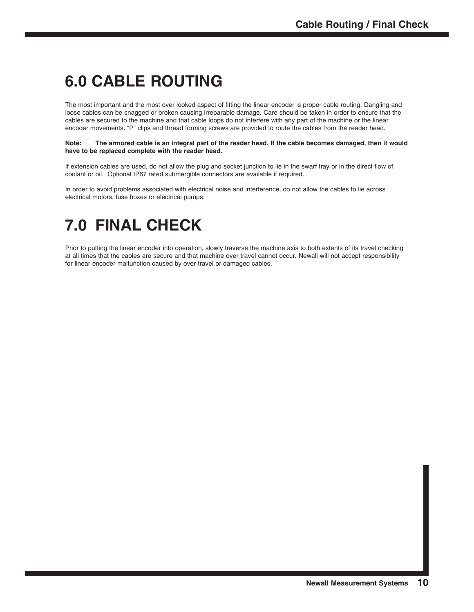## **6.0 CABLE ROUTING**

The most important and the most over looked aspect of fitting the linear encoder is proper cable routing. Dangling and loose cables can be snagged or broken causing irreparable damage. Care should be taken in order to ensure that the cables are secured to the machine and that cable loops do not interfere with any part of the machine or the linear encoder movements. "P" clips and thread forming screws are provided to route the cables from the reader head.

#### **Note: The armored cable is an integral part of the reader head. If the cable becomes damaged, then it would have to be replaced complete with the reader head.**

If extension cables are used, do not allow the plug and socket junction to lie in the swarf tray or in the direct flow of coolant or oil. Optional IP67 rated submergible connectors are available if required.

In order to avoid problems associated with electrical noise and interference, do not allow the cables to lie across electrical motors, fuse boxes or electrical pumps.

## **7.0 FINAL CHECK**

Prior to putting the linear encoder into operation, slowly traverse the machine axis to both extents of its travel checking at all times that the cables are secure and that machine over travel cannot occur. Newall will not accept responsibility for linear encoder malfunction caused by over travel or damaged cables.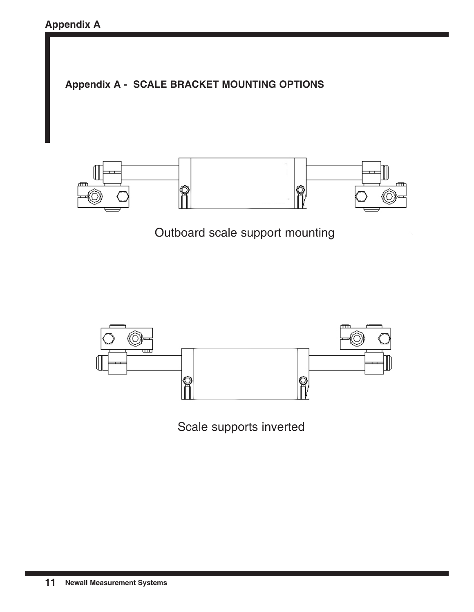



Outboard scale support mounting



Scale supports inverted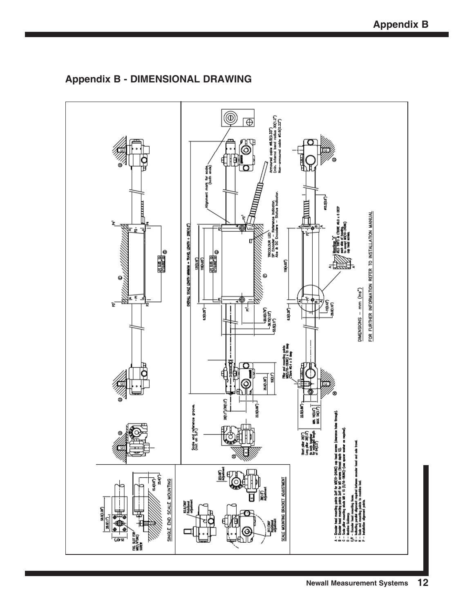

**Appendix B - DIMENSIONAL DRAWING**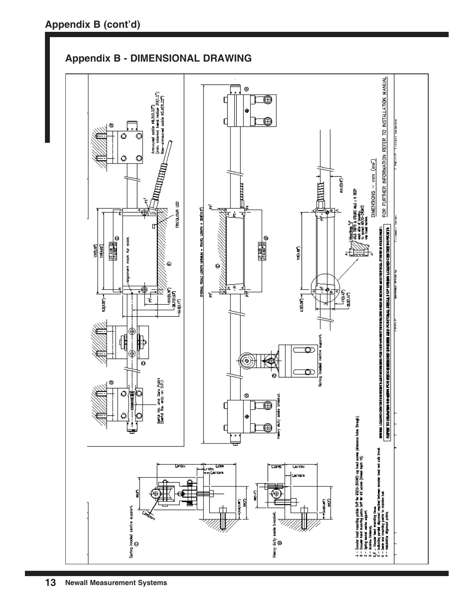